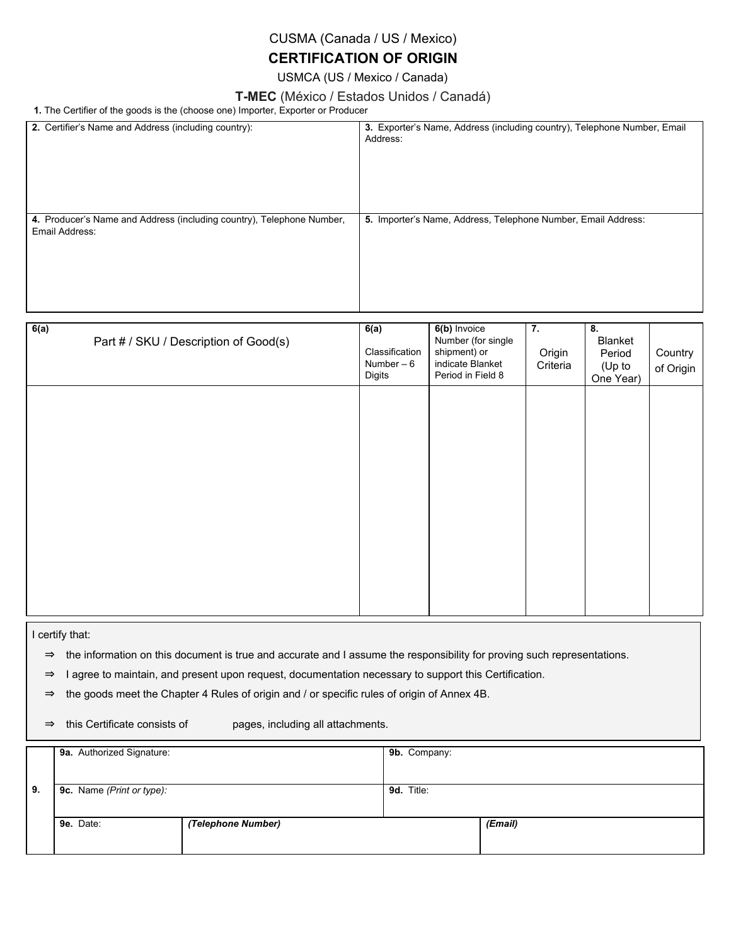### CUSMA (Canada / US / Mexico)

## **CERTIFICATION OF ORIGIN**

USMCA (US / Mexico / Canada)

#### **T-MEC** (México / Estados Unidos / Canadá)

**1.** The Certifier of the goods is the (choose one) Importer, Exporter or Producer

| Address:                                        |                                                                                             |                          |                                                |                                                                                                                                           |
|-------------------------------------------------|---------------------------------------------------------------------------------------------|--------------------------|------------------------------------------------|-------------------------------------------------------------------------------------------------------------------------------------------|
|                                                 |                                                                                             |                          |                                                |                                                                                                                                           |
| 6(a)<br>Classification<br>Number $-6$<br>Digits | 6(b) Invoice<br>Number (for single<br>shipment) or<br>indicate Blanket<br>Period in Field 8 | 7.<br>Origin<br>Criteria | 8.<br>Blanket<br>Period<br>(Up to<br>One Year) | Country<br>of Origin                                                                                                                      |
|                                                 |                                                                                             |                          |                                                | 3. Exporter's Name, Address (including country), Telephone Number, Email<br>5. Importer's Name, Address, Telephone Number, Email Address: |

I certify that:

⇒ the information on this document is true and accurate and I assume the responsibility for proving such representations.

⇒ I agree to maintain, and present upon request, documentation necessary to support this Certification.

⇒ the goods meet the Chapter 4 Rules of origin and / or specific rules of origin of Annex 4B.

⇒ this Certificate consists of pages, including all attachments.

|    | 9a. Authorized Signature: |                    | 9b. Company: |         |  |
|----|---------------------------|--------------------|--------------|---------|--|
|    |                           |                    |              |         |  |
| 9. | 9c. Name (Print or type): |                    | 9d. Title:   |         |  |
|    |                           |                    |              |         |  |
|    | 9e. Date:                 | (Telephone Number) |              | (Email) |  |
|    |                           |                    |              |         |  |